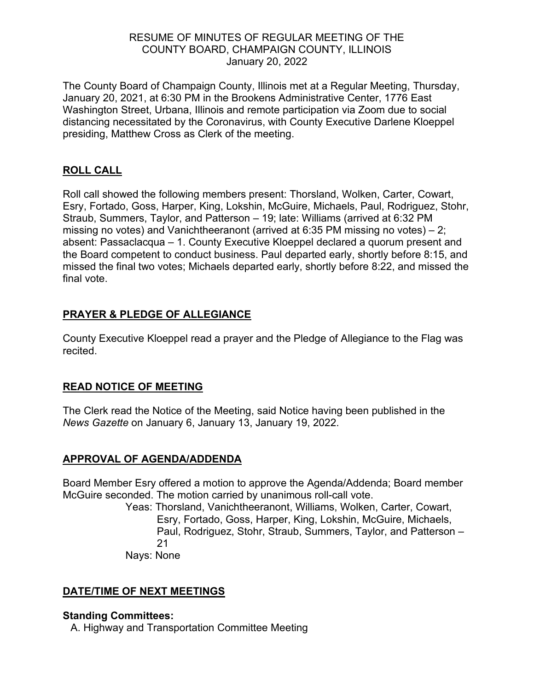## RESUME OF MINUTES OF REGULAR MEETING OF THE COUNTY BOARD, CHAMPAIGN COUNTY, ILLINOIS January 20, 2022

The County Board of Champaign County, Illinois met at a Regular Meeting, Thursday, January 20, 2021, at 6:30 PM in the Brookens Administrative Center, 1776 East Washington Street, Urbana, Illinois and remote participation via Zoom due to social distancing necessitated by the Coronavirus, with County Executive Darlene Kloeppel presiding, Matthew Cross as Clerk of the meeting.

## **ROLL CALL**

Roll call showed the following members present: Thorsland, Wolken, Carter, Cowart, Esry, Fortado, Goss, Harper, King, Lokshin, McGuire, Michaels, Paul, Rodriguez, Stohr, Straub, Summers, Taylor, and Patterson – 19; late: Williams (arrived at 6:32 PM missing no votes) and Vanichtheeranont (arrived at 6:35 PM missing no votes) – 2; absent: Passaclacqua – 1. County Executive Kloeppel declared a quorum present and the Board competent to conduct business. Paul departed early, shortly before 8:15, and missed the final two votes; Michaels departed early, shortly before 8:22, and missed the final vote.

## **PRAYER & PLEDGE OF ALLEGIANCE**

County Executive Kloeppel read a prayer and the Pledge of Allegiance to the Flag was recited.

## **READ NOTICE OF MEETING**

The Clerk read the Notice of the Meeting, said Notice having been published in the *News Gazette* on January 6, January 13, January 19, 2022.

# **APPROVAL OF AGENDA/ADDENDA**

Board Member Esry offered a motion to approve the Agenda/Addenda; Board member McGuire seconded. The motion carried by unanimous roll-call vote.

Yeas: Thorsland, Vanichtheeranont, Williams, Wolken, Carter, Cowart, Esry, Fortado, Goss, Harper, King, Lokshin, McGuire, Michaels, Paul, Rodriguez, Stohr, Straub, Summers, Taylor, and Patterson – 21

Nays: None

## **DATE/TIME OF NEXT MEETINGS**

### **Standing Committees:**

A. Highway and Transportation Committee Meeting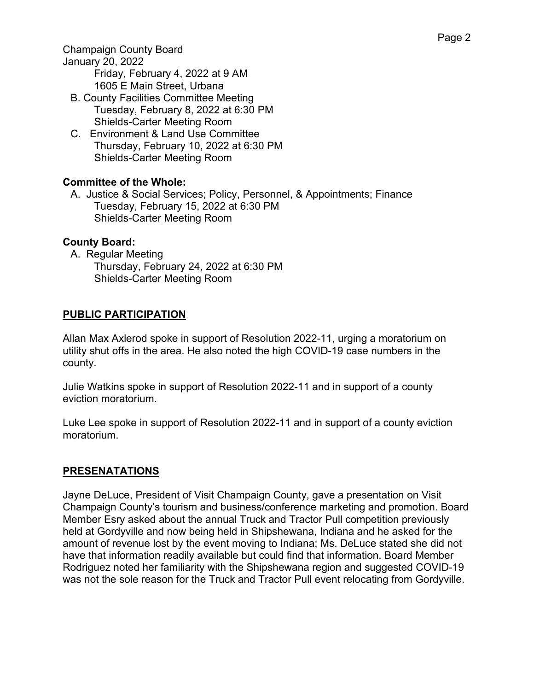Champaign County Board

January 20, 2022

Friday, February 4, 2022 at 9 AM 1605 E Main Street, Urbana

- B. County Facilities Committee Meeting Tuesday, February 8, 2022 at 6:30 PM Shields-Carter Meeting Room
- C. Environment & Land Use Committee Thursday, February 10, 2022 at 6:30 PM Shields-Carter Meeting Room

## **Committee of the Whole:**

A. Justice & Social Services; Policy, Personnel, & Appointments; Finance Tuesday, February 15, 2022 at 6:30 PM Shields-Carter Meeting Room

## **County Board:**

A. Regular Meeting Thursday, February 24, 2022 at 6:30 PM Shields-Carter Meeting Room

## **PUBLIC PARTICIPATION**

Allan Max Axlerod spoke in support of Resolution 2022-11, urging a moratorium on utility shut offs in the area. He also noted the high COVID-19 case numbers in the county.

Julie Watkins spoke in support of Resolution 2022-11 and in support of a county eviction moratorium.

Luke Lee spoke in support of Resolution 2022-11 and in support of a county eviction moratorium.

### **PRESENATATIONS**

Jayne DeLuce, President of Visit Champaign County, gave a presentation on Visit Champaign County's tourism and business/conference marketing and promotion. Board Member Esry asked about the annual Truck and Tractor Pull competition previously held at Gordyville and now being held in Shipshewana, Indiana and he asked for the amount of revenue lost by the event moving to Indiana; Ms. DeLuce stated she did not have that information readily available but could find that information. Board Member Rodriguez noted her familiarity with the Shipshewana region and suggested COVID-19 was not the sole reason for the Truck and Tractor Pull event relocating from Gordyville.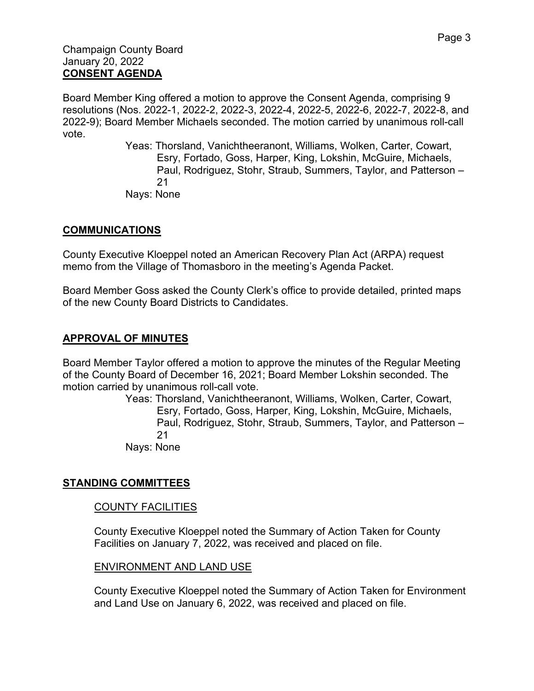Board Member King offered a motion to approve the Consent Agenda, comprising 9 resolutions (Nos. 2022-1, 2022-2, 2022-3, 2022-4, 2022-5, 2022-6, 2022-7, 2022-8, and 2022-9); Board Member Michaels seconded. The motion carried by unanimous roll-call vote.

> Yeas: Thorsland, Vanichtheeranont, Williams, Wolken, Carter, Cowart, Esry, Fortado, Goss, Harper, King, Lokshin, McGuire, Michaels, Paul, Rodriguez, Stohr, Straub, Summers, Taylor, and Patterson – 21 Nays: None

## **COMMUNICATIONS**

County Executive Kloeppel noted an American Recovery Plan Act (ARPA) request memo from the Village of Thomasboro in the meeting's Agenda Packet.

Board Member Goss asked the County Clerk's office to provide detailed, printed maps of the new County Board Districts to Candidates.

### **APPROVAL OF MINUTES**

Board Member Taylor offered a motion to approve the minutes of the Regular Meeting of the County Board of December 16, 2021; Board Member Lokshin seconded. The motion carried by unanimous roll-call vote.

Yeas: Thorsland, Vanichtheeranont, Williams, Wolken, Carter, Cowart, Esry, Fortado, Goss, Harper, King, Lokshin, McGuire, Michaels, Paul, Rodriguez, Stohr, Straub, Summers, Taylor, and Patterson – 21 Nays: None

### **STANDING COMMITTEES**

#### COUNTY FACILITIES

County Executive Kloeppel noted the Summary of Action Taken for County Facilities on January 7, 2022, was received and placed on file.

#### ENVIRONMENT AND LAND USE

County Executive Kloeppel noted the Summary of Action Taken for Environment and Land Use on January 6, 2022, was received and placed on file.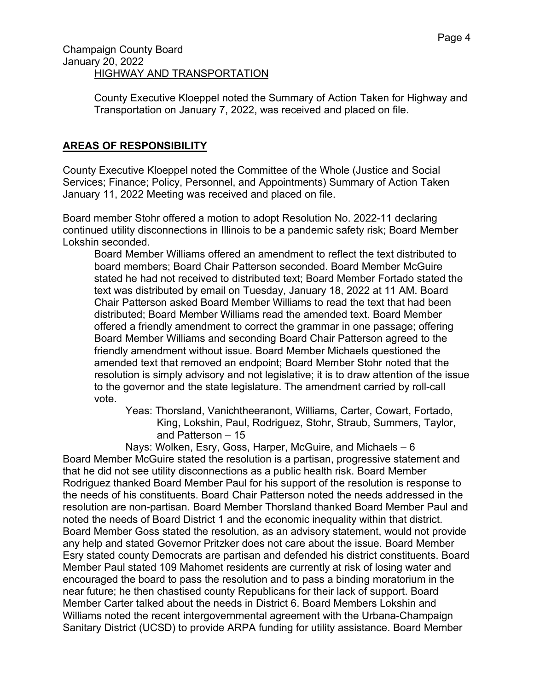County Executive Kloeppel noted the Summary of Action Taken for Highway and Transportation on January 7, 2022, was received and placed on file.

# **AREAS OF RESPONSIBILITY**

County Executive Kloeppel noted the Committee of the Whole (Justice and Social Services; Finance; Policy, Personnel, and Appointments) Summary of Action Taken January 11, 2022 Meeting was received and placed on file.

Board member Stohr offered a motion to adopt Resolution No. 2022-11 declaring continued utility disconnections in Illinois to be a pandemic safety risk; Board Member Lokshin seconded.

Board Member Williams offered an amendment to reflect the text distributed to board members; Board Chair Patterson seconded. Board Member McGuire stated he had not received to distributed text; Board Member Fortado stated the text was distributed by email on Tuesday, January 18, 2022 at 11 AM. Board Chair Patterson asked Board Member Williams to read the text that had been distributed; Board Member Williams read the amended text. Board Member offered a friendly amendment to correct the grammar in one passage; offering Board Member Williams and seconding Board Chair Patterson agreed to the friendly amendment without issue. Board Member Michaels questioned the amended text that removed an endpoint; Board Member Stohr noted that the resolution is simply advisory and not legislative; it is to draw attention of the issue to the governor and the state legislature. The amendment carried by roll-call vote.

Yeas: Thorsland, Vanichtheeranont, Williams, Carter, Cowart, Fortado, King, Lokshin, Paul, Rodriguez, Stohr, Straub, Summers, Taylor, and Patterson – 15

Nays: Wolken, Esry, Goss, Harper, McGuire, and Michaels – 6 Board Member McGuire stated the resolution is a partisan, progressive statement and that he did not see utility disconnections as a public health risk. Board Member Rodriguez thanked Board Member Paul for his support of the resolution is response to the needs of his constituents. Board Chair Patterson noted the needs addressed in the resolution are non-partisan. Board Member Thorsland thanked Board Member Paul and noted the needs of Board District 1 and the economic inequality within that district. Board Member Goss stated the resolution, as an advisory statement, would not provide any help and stated Governor Pritzker does not care about the issue. Board Member Esry stated county Democrats are partisan and defended his district constituents. Board Member Paul stated 109 Mahomet residents are currently at risk of losing water and encouraged the board to pass the resolution and to pass a binding moratorium in the near future; he then chastised county Republicans for their lack of support. Board Member Carter talked about the needs in District 6. Board Members Lokshin and Williams noted the recent intergovernmental agreement with the Urbana-Champaign Sanitary District (UCSD) to provide ARPA funding for utility assistance. Board Member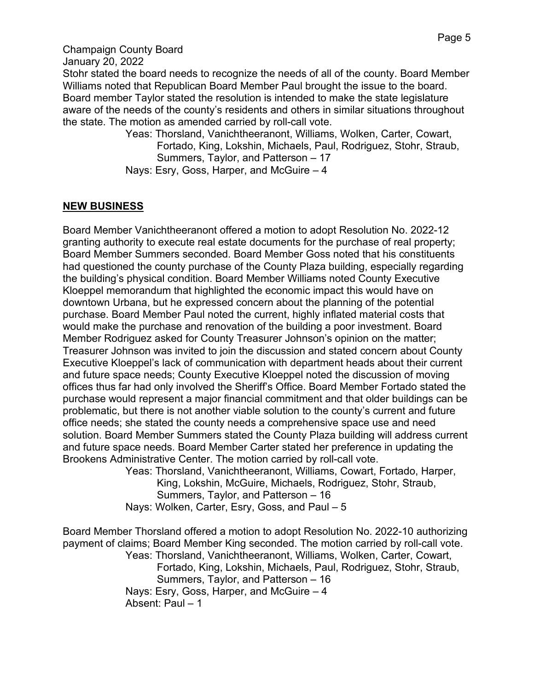#### Champaign County Board

January 20, 2022

Stohr stated the board needs to recognize the needs of all of the county. Board Member Williams noted that Republican Board Member Paul brought the issue to the board. Board member Taylor stated the resolution is intended to make the state legislature aware of the needs of the county's residents and others in similar situations throughout the state. The motion as amended carried by roll-call vote.

Yeas: Thorsland, Vanichtheeranont, Williams, Wolken, Carter, Cowart, Fortado, King, Lokshin, Michaels, Paul, Rodriguez, Stohr, Straub, Summers, Taylor, and Patterson – 17

Nays: Esry, Goss, Harper, and McGuire – 4

### **NEW BUSINESS**

Board Member Vanichtheeranont offered a motion to adopt Resolution No. 2022-12 granting authority to execute real estate documents for the purchase of real property; Board Member Summers seconded. Board Member Goss noted that his constituents had questioned the county purchase of the County Plaza building, especially regarding the building's physical condition. Board Member Williams noted County Executive Kloeppel memorandum that highlighted the economic impact this would have on downtown Urbana, but he expressed concern about the planning of the potential purchase. Board Member Paul noted the current, highly inflated material costs that would make the purchase and renovation of the building a poor investment. Board Member Rodriguez asked for County Treasurer Johnson's opinion on the matter; Treasurer Johnson was invited to join the discussion and stated concern about County Executive Kloeppel's lack of communication with department heads about their current and future space needs; County Executive Kloeppel noted the discussion of moving offices thus far had only involved the Sheriff's Office. Board Member Fortado stated the purchase would represent a major financial commitment and that older buildings can be problematic, but there is not another viable solution to the county's current and future office needs; she stated the county needs a comprehensive space use and need solution. Board Member Summers stated the County Plaza building will address current and future space needs. Board Member Carter stated her preference in updating the Brookens Administrative Center. The motion carried by roll-call vote.

Yeas: Thorsland, Vanichtheeranont, Williams, Cowart, Fortado, Harper, King, Lokshin, McGuire, Michaels, Rodriguez, Stohr, Straub, Summers, Taylor, and Patterson – 16 Nays: Wolken, Carter, Esry, Goss, and Paul – 5

Board Member Thorsland offered a motion to adopt Resolution No. 2022-10 authorizing payment of claims; Board Member King seconded. The motion carried by roll-call vote. Yeas: Thorsland, Vanichtheeranont, Williams, Wolken, Carter, Cowart, Fortado, King, Lokshin, Michaels, Paul, Rodriguez, Stohr, Straub, Summers, Taylor, and Patterson – 16 Nays: Esry, Goss, Harper, and McGuire – 4 Absent: Paul – 1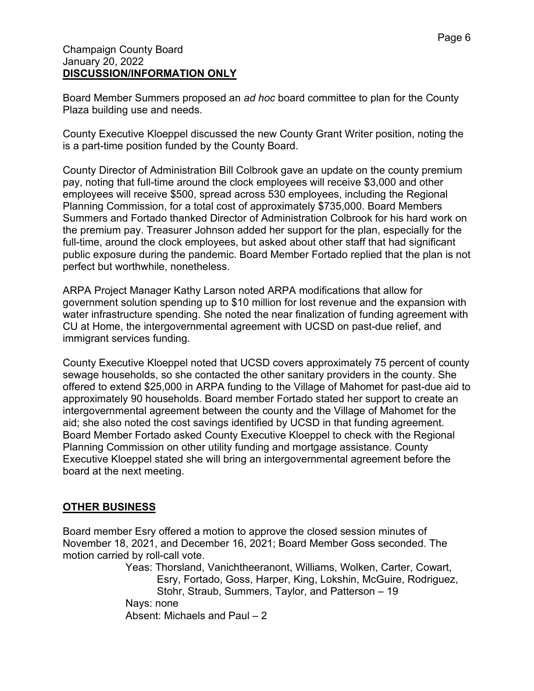#### Champaign County Board January 20, 2022 **DISCUSSION/INFORMATION ONLY**

Board Member Summers proposed an *ad hoc* board committee to plan for the County Plaza building use and needs.

County Executive Kloeppel discussed the new County Grant Writer position, noting the is a part-time position funded by the County Board.

County Director of Administration Bill Colbrook gave an update on the county premium pay, noting that full-time around the clock employees will receive \$3,000 and other employees will receive \$500, spread across 530 employees, including the Regional Planning Commission, for a total cost of approximately \$735,000. Board Members Summers and Fortado thanked Director of Administration Colbrook for his hard work on the premium pay. Treasurer Johnson added her support for the plan, especially for the full-time, around the clock employees, but asked about other staff that had significant public exposure during the pandemic. Board Member Fortado replied that the plan is not perfect but worthwhile, nonetheless.

ARPA Project Manager Kathy Larson noted ARPA modifications that allow for government solution spending up to \$10 million for lost revenue and the expansion with water infrastructure spending. She noted the near finalization of funding agreement with CU at Home, the intergovernmental agreement with UCSD on past-due relief, and immigrant services funding.

County Executive Kloeppel noted that UCSD covers approximately 75 percent of county sewage households, so she contacted the other sanitary providers in the county. She offered to extend \$25,000 in ARPA funding to the Village of Mahomet for past-due aid to approximately 90 households. Board member Fortado stated her support to create an intergovernmental agreement between the county and the Village of Mahomet for the aid; she also noted the cost savings identified by UCSD in that funding agreement. Board Member Fortado asked County Executive Kloeppel to check with the Regional Planning Commission on other utility funding and mortgage assistance. County Executive Kloeppel stated she will bring an intergovernmental agreement before the board at the next meeting.

# **OTHER BUSINESS**

Board member Esry offered a motion to approve the closed session minutes of November 18, 2021, and December 16, 2021; Board Member Goss seconded. The motion carried by roll-call vote.

Yeas: Thorsland, Vanichtheeranont, Williams, Wolken, Carter, Cowart, Esry, Fortado, Goss, Harper, King, Lokshin, McGuire, Rodriguez, Stohr, Straub, Summers, Taylor, and Patterson – 19 Nays: none Absent: Michaels and Paul – 2